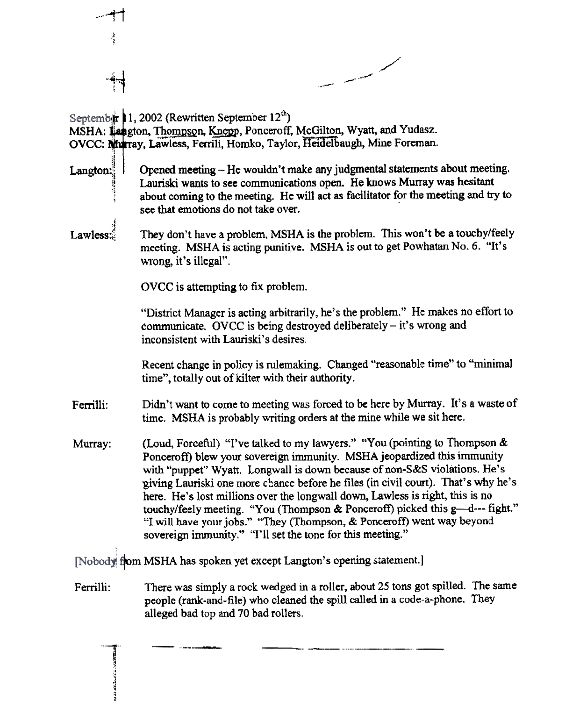

 $\mathbf{r}$ ~! .. '" " "'I ~I Ii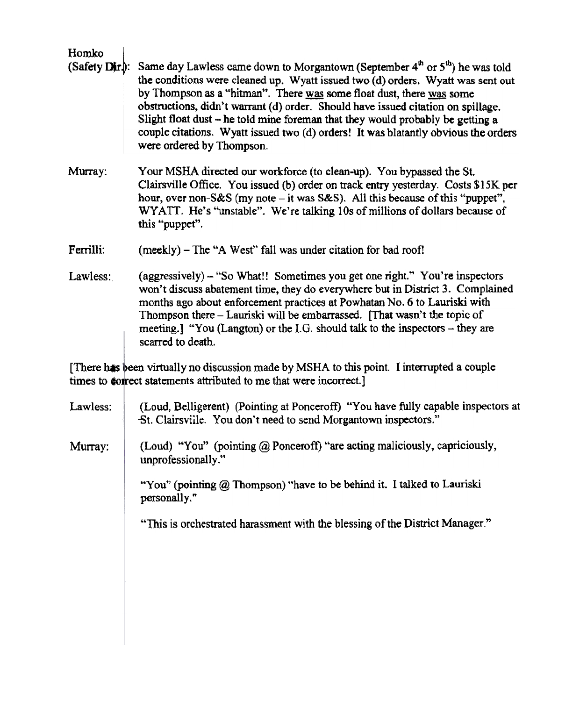| Homko            |                                                                                                                                                                                                                                                                                                                                                                                                                                                                                                                                                          |  |
|------------------|----------------------------------------------------------------------------------------------------------------------------------------------------------------------------------------------------------------------------------------------------------------------------------------------------------------------------------------------------------------------------------------------------------------------------------------------------------------------------------------------------------------------------------------------------------|--|
| $(Safety Dir)$ : | Same day Lawless came down to Morgantown (September $4^{\text{th}}$ or $5^{\text{th}}$ ) he was told<br>the conditions were cleaned up. Wyatt issued two (d) orders. Wyatt was sent out<br>by Thompson as a "hitman". There was some float dust, there was some<br>obstructions, didn't warrant (d) order. Should have issued citation on spillage.<br>Slight float dust – he told mine foreman that they would probably be getting a<br>couple citations. Wyatt issued two (d) orders! It was blatantly obvious the orders<br>were ordered by Thompson. |  |
| Murray:          | Your MSHA directed our workforce (to clean-up). You bypassed the St.<br>Clairsville Office. You issued (b) order on track entry yesterday. Costs \$15K per<br>hour, over non-S&S (my note – it was S&S). All this because of this "puppet",<br>WYATT. He's "unstable". We're talking 10s of millions of dollars because of<br>this "puppet".                                                                                                                                                                                                             |  |
| Ferrilli:        | (meekly) – The "A West" fall was under citation for bad roof!                                                                                                                                                                                                                                                                                                                                                                                                                                                                                            |  |
| Lawless:         | (aggressively) – "So What!! Sometimes you get one right." You're inspectors<br>won't discuss abatement time, they do everywhere but in District 3. Complained<br>months ago about enforcement practices at Powhatan No. 6 to Lauriski with<br>Thompson there – Lauriski will be embarrassed. [That wasn't the topic of<br>meeting.] "You (Langton) or the I.G. should talk to the inspectors $-$ they are                                                                                                                                                |  |

virtually no discussion made by MSHA to this point. I interrupted a couple rect statements attributed to me that were incorrect.]  $\frac{1}{2}$  here has  $\frac{1}{2}$  times to  $\frac{1}{2}$  done

scarred to death.

| Lawless:   | (Loud, Belligerent) (Pointing at Ponceroff) "You have fully capable inspectors at<br>St. Clairsville. You don't need to send Morgantown inspectors."                               |
|------------|------------------------------------------------------------------------------------------------------------------------------------------------------------------------------------|
| $M$ urray: | (Loud) "You" (pointing $\omega$ Ponceroff) "are acting maliciously, capriciously,<br>unprofessionally."<br>"You" (pointing @ Thompson) "have to be behind it. I talked to Lauriski |
|            | personally."                                                                                                                                                                       |
|            | "This is orchestrated harassment with the blessing of the District Manager."                                                                                                       |
|            |                                                                                                                                                                                    |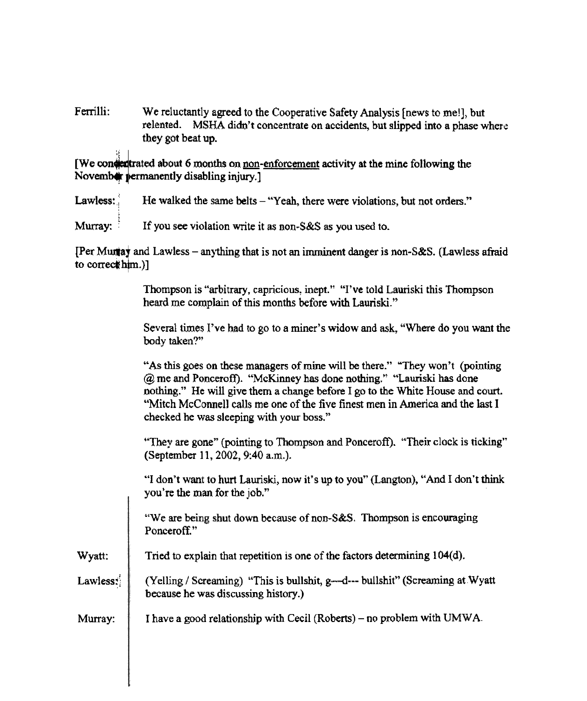Ferrilli: We reluctantly agreed to the Cooperative Safety Analysis [news to me!], but relented. MSHA didn't concentrate on accidents, but slipped into a phase where they got beat up.

[We conden trated about 6 months on non-enforcement activity at the mine following the November permanently disabling injury.

He walked the same belts - "Yeah, there were violations, but not orders." Lawless:

Murray: If you see violation write it as non-S&S as you used to.

[Per Murray and Lawless – anything that is not an imminent danger is non-S&S. (Lawless afraid to correct  $\lim_{n \to \infty}$ )]

> Thompson is "arbitrary, capricious, inept." "I've told Lauriski this Thompson heard me complain of this months before with Lauriski."

Several times I've had to go to a miner's widow and ask, "Where do you want the body taken?"

"As this goes on these managers of mine will be there." "They won't (pointing @ me and Ponceroff). "McKinney has done nothing.~' ""Lauriski has done nothing." He will give them a change before I go to the White House and court. "Mitch McConnell calls me one of the five finest men in America and the last I checked he was sleeping with your boss."

.'They are gone" (pointing to Thompson and Ponceroft). "Their clock is ticking" (September 11, 2002, 9:40 a.m.).

"I don't want to hurt Lauriski, now it's up to you" (Langton), "And I don't think you're the man for the job."

"We are being shut down because of non- $S&S$ . Thompson is encouraging Ponceroff."

Wyatt: Tried to explain that repetition is one of the factors determining 104(d).

- Lawless: (Yelling / Screaming) "This is bullshit, g—d--- bullshit" (Screaming at Wyatt) because he was discussing history.)
- Murray:  $\parallel$  I have a good relationship with Cecil (Roberts) no problem with UMWA.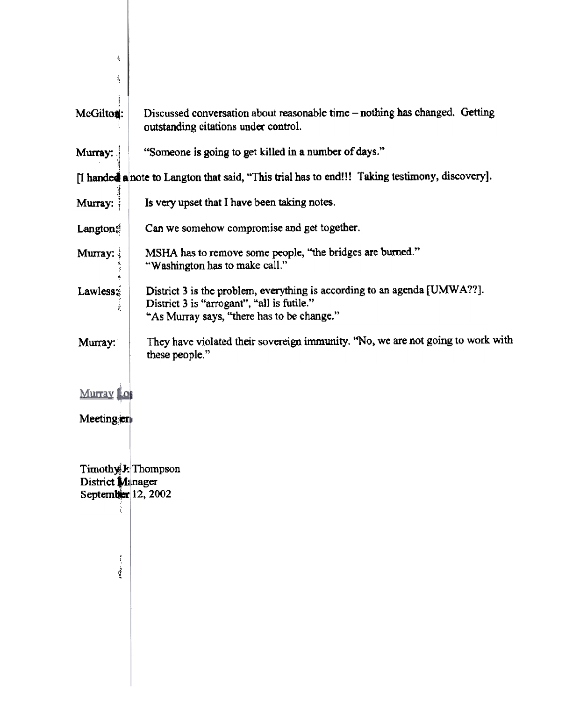| Ť                                        |                                                                                                                                                                       |
|------------------------------------------|-----------------------------------------------------------------------------------------------------------------------------------------------------------------------|
| 4                                        |                                                                                                                                                                       |
| Į<br>McGilton:                           | Discussed conversation about reasonable time – nothing has changed. Getting<br>outstanding citations under control.                                                   |
| Murray:                                  | "Someone is going to get killed in a number of days."                                                                                                                 |
|                                          | [I handed a note to Langton that said, "This trial has to end!!! Taking testimony, discovery].                                                                        |
| Murray:                                  | Is very upset that I have been taking notes.                                                                                                                          |
| Langton                                  | Can we somehow compromise and get together.                                                                                                                           |
| Murray:                                  | MSHA has to remove some people, "the bridges are burned."<br>"Washington has to make call."                                                                           |
| Lawless<br>t                             | District 3 is the problem, everything is according to an agenda [UMWA??].<br>District 3 is "arrogant", "all is futile."<br>"As Murray says, "there has to be change." |
| Murray:                                  | They have violated their sovereign immunity. "No, we are not going to work with<br>these people."                                                                     |
| <u>Митау Го</u>                          |                                                                                                                                                                       |
| Meeting                                  |                                                                                                                                                                       |
|                                          |                                                                                                                                                                       |
| District Minager<br>September $12, 2002$ | Timothy J: Thompson                                                                                                                                                   |
|                                          |                                                                                                                                                                       |
|                                          |                                                                                                                                                                       |
|                                          |                                                                                                                                                                       |
|                                          |                                                                                                                                                                       |
|                                          |                                                                                                                                                                       |
|                                          |                                                                                                                                                                       |
|                                          |                                                                                                                                                                       |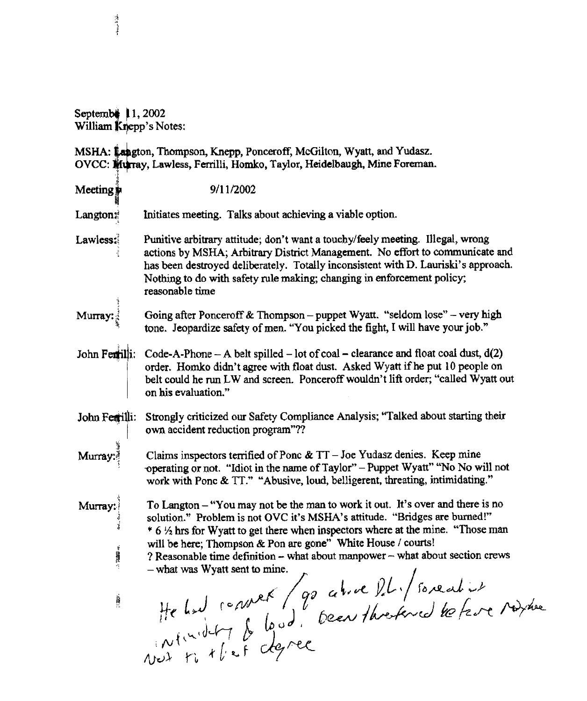Septemb**e**<br>William **K** ~ 1, 2002 /ePp's Notes:

MSHA: Langton, Thompson, Knepp, Ponceroff, McGilton, Wyatt, and Yudasz. OVCC: Wurray, Lawless, Ferrilli, Homko, Taylor, Heidelbaugh, Mine Foreman.

| $M$ eeting        | 9/11/2002                                                                                                                                                                                                                                                                                                                                         |
|-------------------|---------------------------------------------------------------------------------------------------------------------------------------------------------------------------------------------------------------------------------------------------------------------------------------------------------------------------------------------------|
| Langton#          | Initiates meeting. Talks about achieving a viable option.                                                                                                                                                                                                                                                                                         |
| Lawless:          | Punitive arbitrary attitude; don't want a touchy/feely meeting. Illegal, wrong<br>actions by MSHA; Arbitrary District Management. No effort to communicate and<br>has been destroyed deliberately. Totally inconsistent with D. Lauriski's approach.<br>Nothing to do with safety rule making; changing in enforcement policy;<br>reasonable time |
| Murray            | Going after Ponceroff & Thompson – puppet Wyatt. "seldom lose" – very high<br>tone. Jeopardize safety of men. "You picked the fight, I will have your job."                                                                                                                                                                                       |
|                   | John Ferrilli: Code-A-Phone – A belt spilled – lot of coal – clearance and float coal dust, $d(2)$<br>order. Homko didn't agree with float dust. Asked Wyatt if he put 10 people on<br>belt could he run LW and screen. Ponceroff wouldn't lift order; "called Wyatt out<br>on his evaluation."                                                   |
| John Fearilli:    | Strongly criticized our Safety Compliance Analysis; "Talked about starting their<br>own accident reduction program"??                                                                                                                                                                                                                             |
| Murray:           | Claims inspectors terrified of Ponc $\&$ TT - Joe Yudasz denies. Keep mine<br>operating or not. "Idiot in the name of Taylor" - Puppet Wyatt" "No No will not<br>work with Ponc & TT." "Abusive, loud, belligerent, threating, intimidating."                                                                                                     |
| Murray:<br>i<br>H | To Langton - "You may not be the man to work it out. It's over and there is no<br>solution." Problem is not OVC it's MSHA's attitude. "Bridges are burned!"<br>* 6 % hrs for Wyatt to get there when inspectors where at the mine. "Those man<br>will be here; Thompson & Pon are gone" White House / courts!                                     |
| 41                |                                                                                                                                                                                                                                                                                                                                                   |
| À                 | He had convert / 90 als de l'Il i / souent ist                                                                                                                                                                                                                                                                                                    |
|                   |                                                                                                                                                                                                                                                                                                                                                   |

:f "~ ,t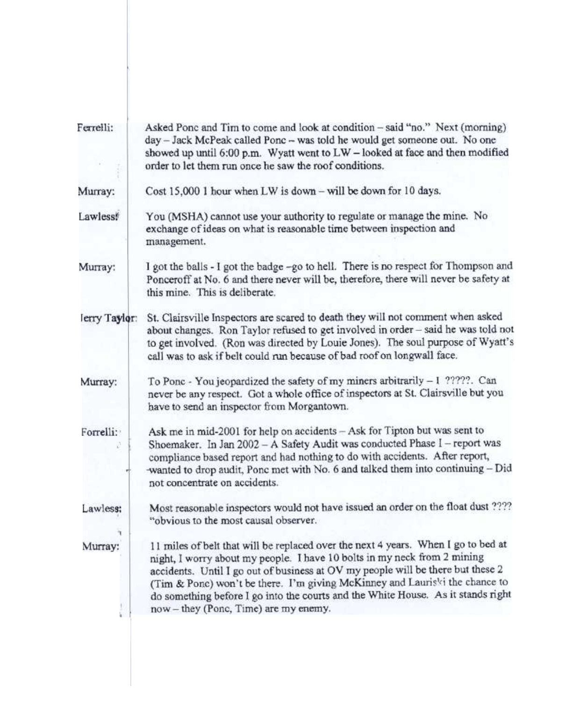| Asked Ponc and Tim to come and look at condition – said "no." Next (morning)<br>day - Jack McPeak called Ponc - was told he would get someone out. No one<br>showed up until 6:00 p.m. Wyatt went to LW - looked at face and then modified                                                                                                                                                                                                                   |
|--------------------------------------------------------------------------------------------------------------------------------------------------------------------------------------------------------------------------------------------------------------------------------------------------------------------------------------------------------------------------------------------------------------------------------------------------------------|
| order to let them run once he saw the roof conditions.                                                                                                                                                                                                                                                                                                                                                                                                       |
| Cost 15,000 1 hour when LW is down - will be down for 10 days.                                                                                                                                                                                                                                                                                                                                                                                               |
| You (MSHA) cannot use your authority to regulate or manage the mine. No<br>exchange of ideas on what is reasonable time between inspection and<br>management.                                                                                                                                                                                                                                                                                                |
| I got the balls - I got the badge -go to hell. There is no respect for Thompson and<br>Ponceroff at No. 6 and there never will be, therefore, there will never be safety at<br>this mine. This is deliberate.                                                                                                                                                                                                                                                |
| St. Clairsville Inspectors are scared to death they will not comment when asked<br>about changes. Ron Taylor refused to get involved in order - said he was told not<br>to get involved. (Ron was directed by Louie Jones). The soul purpose of Wyatt's<br>call was to ask if belt could run because of bad roof on longwall face.                                                                                                                           |
| To Ponc - You jeopardized the safety of my miners arbitrarily - I ?????. Can<br>never be any respect. Got a whole office of inspectors at St. Clairsville but you<br>have to send an inspector from Morgantown.                                                                                                                                                                                                                                              |
| Ask me in mid-2001 for help on accidents - Ask for Tipton but was sent to<br>Shoemaker. In Jan 2002 - A Safety Audit was conducted Phase I - report was<br>compliance based report and had nothing to do with accidents. After report,<br>-wanted to drop audit, Ponc met with No. 6 and talked them into continuing - Did<br>not concentrate on accidents.                                                                                                  |
| Most reasonable inspectors would not have issued an order on the float dust ????<br>"obvious to the most causal observer.                                                                                                                                                                                                                                                                                                                                    |
| 11 miles of belt that will be replaced over the next 4 years. When I go to bed at<br>night, I worry about my people. I have 10 bolts in my neck from 2 mining<br>accidents. Until I go out of business at OV my people will be there but these 2<br>(Tim & Ponc) won't be there. I'm giving McKinney and Lauriski the chance to<br>do something before I go into the courts and the White House. As it stands right<br>now - they (Ponc, Time) are my enemy. |
|                                                                                                                                                                                                                                                                                                                                                                                                                                                              |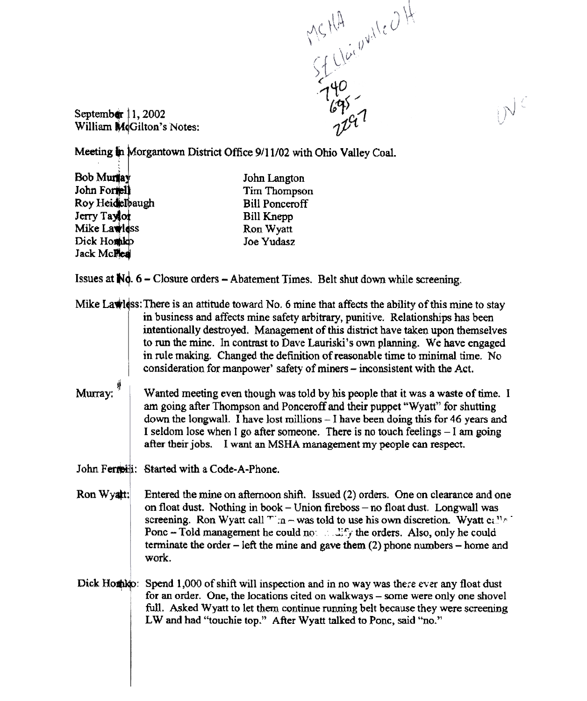MSHA which

 $N^{\zeta}$ 

September  $11,2002$ William MdGilton's Notes:

Meeting in Morgantown District Office 9/11/02 with Ohio Valley Coal.

BobM ' John Fo Roy Heidelbaugh Jerry T Mike Lawless Dick Homble Jack McPlea r

John Langton Tim Thompson Bill Ponceroff Bill Knepp Ron Wyatt Joe Yudasz

Issues at  $\mathbb{N}$ d. 6 - Closure orders - Abatement Times. Belt shut down while screening.

Mike Lawiss: There is an attitude toward No. 6 mine that affects the ability of this mine to stay in business and affects mine safety arbitrary, punitive. Relationships has been intentionally destroyed. Management of this district have taken upon themselves to run the mine. In contrast to Dave Lauriski's own planning. We have engaged in rule making. Changed the defirntion of reasonable time to minimal time. No consideration for manpower' safety of miners – inconsistent with the Act.

Wanted meeting even though was told by his people that it was a waste of time. I am going after Thompson and Ponceroff and their puppet "Wyatt" for shutting down the longwall. I have lost millions -I have been doing this for 46 years and I seldom lose when I go after someone. There is no touch feelings  $-1$  am going after their jobs. I want an MSHA management my people can respect. Murray:

John Ferreiti: Started with a Code-A-Phone

- Ron Wyatt: Entered the mine on afternoon shift. Issued (2) orders. One on clearance and one on float dust. Nothing in book - Union fireboss - no float dust. Longwall was screening. Ron Wyatt call  $T : n - was$  told to use his own discretion. Wyatt call  $\epsilon$ . Ponc - Told management he could no. "::::::::; the orders. Also, only he could terminate the order  $-$  left the mine and gave them (2) phone numbers  $-$  home and work.
- Dick Homble: Spend 1,000 of shift will inspection and in no way was there ever any float dust for an order. One, the locations cited on walkways – some were only one shovel full. Asked Wyatt to let them continue running belt because they were screening LW and had "touchie top." After Wyatt talked to Ponc, said "no."